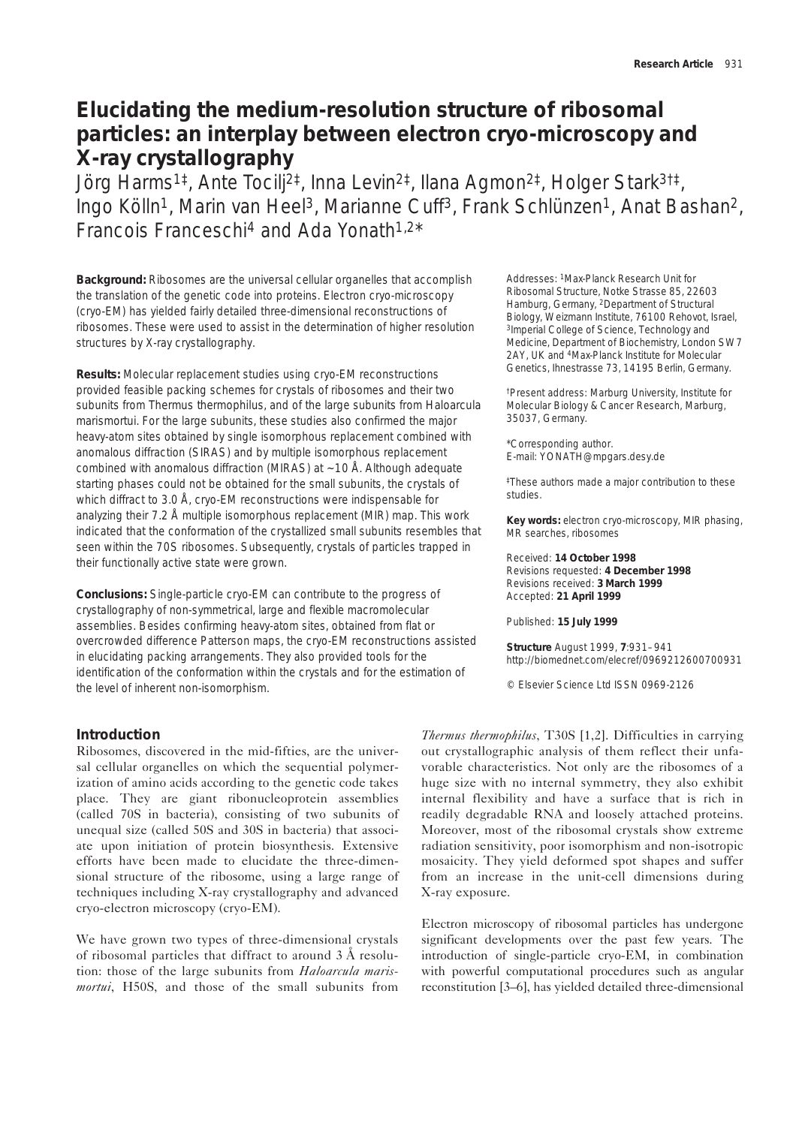# **Elucidating the medium-resolution structure of ribosomal particles: an interplay between electron cryo-microscopy and X-ray crystallography**

Jörg Harms1‡, Ante Tocilj2‡, Inna Levin2‡, Ilana Agmon2‡, Holger Stark3†‡, Ingo Kölln<sup>1</sup>, Marin van Heel<sup>3</sup>, Marianne Cuff<sup>3</sup>, Frank Schlünzen<sup>1</sup>, Anat Bashan<sup>2</sup>, Francois Franceschi4 and Ada Yonath1,2\*

**Background:** Ribosomes are the universal cellular organelles that accomplish the translation of the genetic code into proteins. Electron cryo-microscopy (cryo-EM) has yielded fairly detailed three-dimensional reconstructions of ribosomes. These were used to assist in the determination of higher resolution structures by X-ray crystallography.

**Results:** Molecular replacement studies using cryo-EM reconstructions provided feasible packing schemes for crystals of ribosomes and their two subunits from *Thermus thermophilus*, and of the large subunits from *Haloarcula marismortui*. For the large subunits, these studies also confirmed the major heavy-atom sites obtained by single isomorphous replacement combined with anomalous diffraction (SIRAS) and by multiple isomorphous replacement combined with anomalous diffraction (MIRAS) at  $\sim$  10 Å. Although adequate starting phases could not be obtained for the small subunits, the crystals of which diffract to 3.0 Å, cryo-EM reconstructions were indispensable for analyzing their 7.2 Å multiple isomorphous replacement (MIR) map. This work indicated that the conformation of the crystallized small subunits resembles that seen within the 70S ribosomes. Subsequently, crystals of particles trapped in their functionally active state were grown.

**Conclusions:** Single-particle cryo-EM can contribute to the progress of crystallography of non-symmetrical, large and flexible macromolecular assemblies. Besides confirming heavy-atom sites, obtained from flat or overcrowded difference Patterson maps, the cryo-EM reconstructions assisted in elucidating packing arrangements. They also provided tools for the identification of the conformation within the crystals and for the estimation of the level of inherent non-isomorphism.

Addresses: 1Max-Planck Research Unit for Ribosomal Structure, Notke Strasse 85, 22603 Hamburg, Germany, 2Department of Structural Biology, Weizmann Institute, 76100 Rehovot, Israel, 3Imperial College of Science, Technology and Medicine, Department of Biochemistry, London SW7 2AY, UK and 4Max-Planck Institute for Molecular Genetics, Ihnestrasse 73, 14195 Berlin, Germany.

†Present address: Marburg University, Institute for Molecular Biology & Cancer Research, Marburg, 35037, Germany.

\*Corresponding author. E-mail: YONATH@mpgars.desy.de

‡These authors made a major contribution to these studies.

**Key words:** electron cryo-microscopy, MIR phasing, MR searches, ribosomes

Received: **14 October 1998** Revisions requested: **4 December 1998** Revisions received: **3 March 1999** Accepted: **21 April 1999**

Published: **15 July 1999**

**Structure** August 1999, **7**:931–941 http://biomednet.com/elecref/0969212600700931

© Elsevier Science Ltd ISSN 0969-2126

# **Introduction**

Ribosomes, discovered in the mid-fifties, are the universal cellular organelles on which the sequential polymerization of amino acids according to the genetic code takes place. They are giant ribonucleoprotein assemblies (called 70S in bacteria), consisting of two subunits of unequal size (called 50S and 30S in bacteria) that associate upon initiation of protein biosynthesis. Extensive efforts have been made to elucidate the three-dimensional structure of the ribosome, using a large range of techniques including X-ray crystallography and advanced cryo-electron microscopy (cryo-EM).

We have grown two types of three-dimensional crystals of ribosomal particles that diffract to around 3 Å resolution: those of the large subunits from *Haloarcula marismortui*, H50S, and those of the small subunits from

*Thermus thermophilus*, T30S [1,2]. Difficulties in carrying out crystallographic analysis of them reflect their unfavorable characteristics. Not only are the ribosomes of a huge size with no internal symmetry, they also exhibit internal flexibility and have a surface that is rich in readily degradable RNA and loosely attached proteins. Moreover, most of the ribosomal crystals show extreme radiation sensitivity, poor isomorphism and non-isotropic mosaicity. They yield deformed spot shapes and suffer from an increase in the unit-cell dimensions during X-ray exposure.

Electron microscopy of ribosomal particles has undergone significant developments over the past few years. The introduction of single-particle cryo-EM, in combination with powerful computational procedures such as angular reconstitution [3–6], has yielded detailed three-dimensional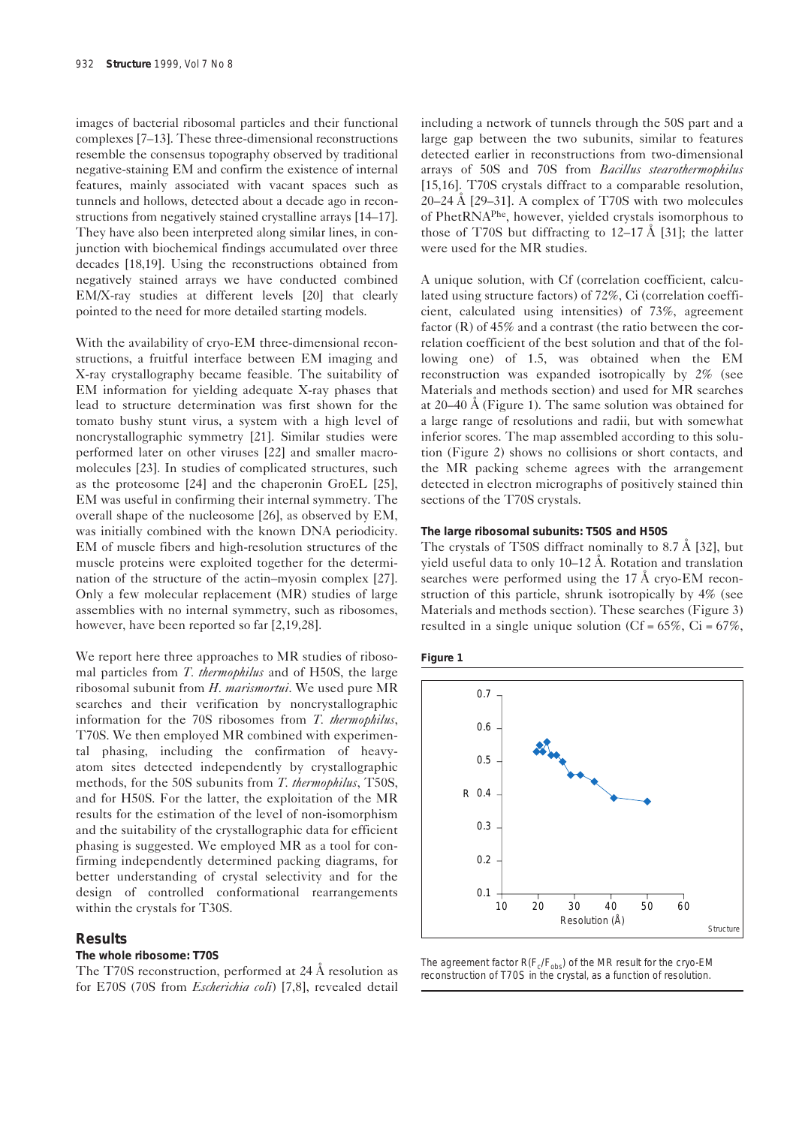images of bacterial ribosomal particles and their functional complexes [7–13]. These three-dimensional reconstructions resemble the consensus topography observed by traditional negative-staining EM and confirm the existence of internal features, mainly associated with vacant spaces such as tunnels and hollows, detected about a decade ago in reconstructions from negatively stained crystalline arrays [14–17]. They have also been interpreted along similar lines, in conjunction with biochemical findings accumulated over three decades [18,19]. Using the reconstructions obtained from negatively stained arrays we have conducted combined EM/X-ray studies at different levels [20] that clearly pointed to the need for more detailed starting models.

With the availability of cryo-EM three-dimensional reconstructions, a fruitful interface between EM imaging and X-ray crystallography became feasible. The suitability of EM information for yielding adequate X-ray phases that lead to structure determination was first shown for the tomato bushy stunt virus, a system with a high level of noncrystallographic symmetry [21]. Similar studies were performed later on other viruses [22] and smaller macromolecules [23]. In studies of complicated structures, such as the proteosome [24] and the chaperonin GroEL [25], EM was useful in confirming their internal symmetry. The overall shape of the nucleosome [26], as observed by EM, was initially combined with the known DNA periodicity. EM of muscle fibers and high-resolution structures of the muscle proteins were exploited together for the determination of the structure of the actin–myosin complex [27]. Only a few molecular replacement (MR) studies of large assemblies with no internal symmetry, such as ribosomes, however, have been reported so far [2,19,28].

We report here three approaches to MR studies of ribosomal particles from *T. thermophilus* and of H50S, the large ribosomal subunit from *H. marismortui*. We used pure MR searches and their verification by noncrystallographic information for the 70S ribosomes from *T. thermophilus*, T70S. We then employed MR combined with experimental phasing, including the confirmation of heavyatom sites detected independently by crystallographic methods, for the 50S subunits from *T. thermophilus*, T50S, and for H50S. For the latter, the exploitation of the MR results for the estimation of the level of non-isomorphism and the suitability of the crystallographic data for efficient phasing is suggested. We employed MR as a tool for confirming independently determined packing diagrams, for better understanding of crystal selectivity and for the design of controlled conformational rearrangements within the crystals for T30S.

# **Results**

# **The whole ribosome: T70S**

The T70S reconstruction, performed at 24 Å resolution as for E70S (70S from *Escherichia coli*) [7,8], revealed detail

including a network of tunnels through the 50S part and a large gap between the two subunits, similar to features detected earlier in reconstructions from two-dimensional arrays of 50S and 70S from *Bacillus stearothermophilus* [15,16]. T70S crystals diffract to a comparable resolution,  $20-24$  Å [29-31]. A complex of T70S with two molecules of PhetRNAPhe, however, yielded crystals isomorphous to those of T70S but diffracting to  $12-17 \text{ Å}$  [31]; the latter were used for the MR studies.

A unique solution, with Cf (correlation coefficient, calculated using structure factors) of 72%, Ci (correlation coefficient, calculated using intensities) of 73%, agreement factor (R) of 45% and a contrast (the ratio between the correlation coefficient of the best solution and that of the following one) of 1.5, was obtained when the EM reconstruction was expanded isotropically by 2% (see Materials and methods section) and used for MR searches at 20–40 Å (Figure 1). The same solution was obtained for a large range of resolutions and radii, but with somewhat inferior scores. The map assembled according to this solution (Figure 2) shows no collisions or short contacts, and the MR packing scheme agrees with the arrangement detected in electron micrographs of positively stained thin sections of the T70S crystals.

### **The large ribosomal subunits: T50S and H50S**

The crystals of T50S diffract nominally to 8.7 Å [32], but yield useful data to only 10–12 Å. Rotation and translation searches were performed using the 17 Å cryo-EM reconstruction of this particle, shrunk isotropically by 4% (see Materials and methods section). These searches (Figure 3) resulted in a single unique solution (Cf =  $65\%$ , Ci =  $67\%$ ,





The agreement factor  $R(F_c/F_{obs})$  of the MR result for the cryo-EM reconstruction of T70S in the crystal, as a function of resolution.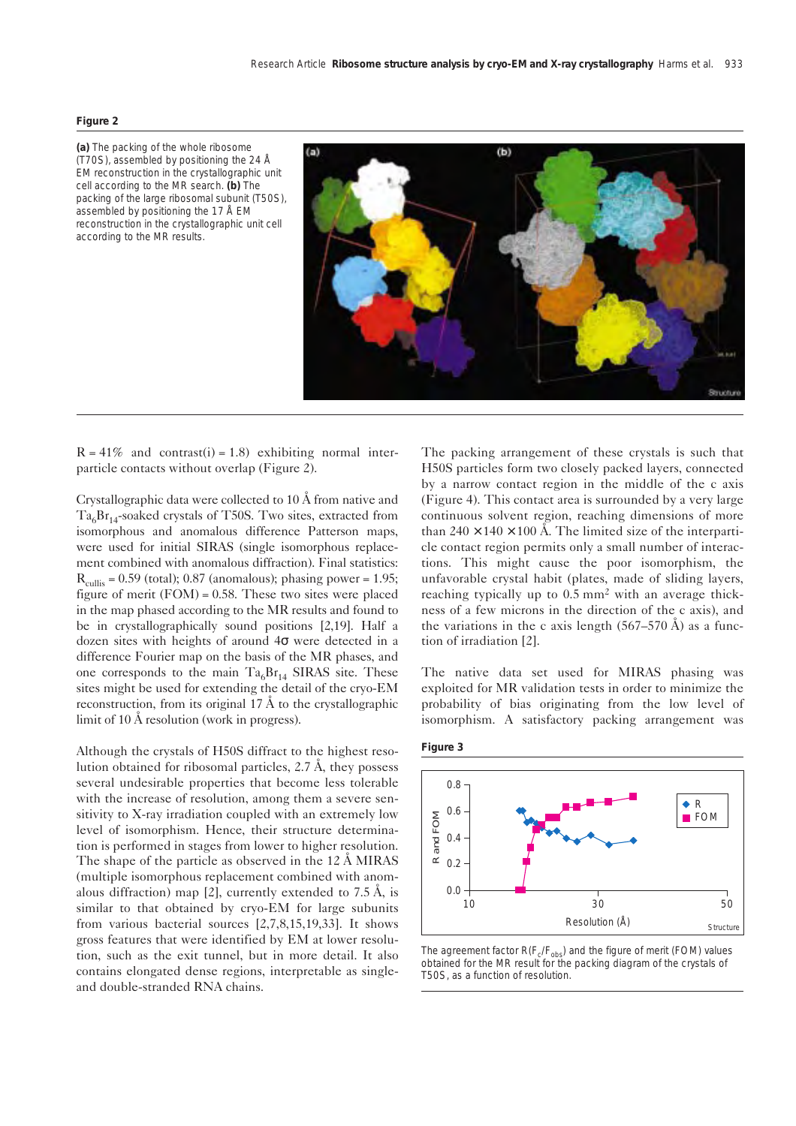#### **Figure 2**

**(a)** The packing of the whole ribosome (T70S), assembled by positioning the 24 Å EM reconstruction in the crystallographic unit cell according to the MR search. **(b)** The packing of the large ribosomal subunit (T50S), assembled by positioning the 17 Å EM reconstruction in the crystallographic unit cell according to the MR results.



 $R = 41\%$  and contrast(i) = 1.8) exhibiting normal interparticle contacts without overlap (Figure 2).

Crystallographic data were collected to 10 Å from native and  $Ta<sub>6</sub>Br<sub>14</sub>$ -soaked crystals of T50S. Two sites, extracted from isomorphous and anomalous difference Patterson maps, were used for initial SIRAS (single isomorphous replacement combined with anomalous diffraction). Final statistics:  $R_{\text{collis}} = 0.59$  (total); 0.87 (anomalous); phasing power = 1.95; figure of merit  $(FOM) = 0.58$ . These two sites were placed in the map phased according to the MR results and found to be in crystallographically sound positions [2,19]. Half a dozen sites with heights of around 4σ were detected in a difference Fourier map on the basis of the MR phases, and one corresponds to the main  $Ta<sub>6</sub>Br<sub>14</sub>$  SIRAS site. These sites might be used for extending the detail of the cryo-EM reconstruction, from its original  $17 \text{ Å}$  to the crystallographic limit of 10 Å resolution (work in progress).

Although the crystals of H50S diffract to the highest resolution obtained for ribosomal particles, 2.7 Å, they possess several undesirable properties that become less tolerable with the increase of resolution, among them a severe sensitivity to X-ray irradiation coupled with an extremely low level of isomorphism. Hence, their structure determination is performed in stages from lower to higher resolution. The shape of the particle as observed in the 12 Å MIRAS (multiple isomorphous replacement combined with anomalous diffraction) map [2], currently extended to 7.5 Å, is similar to that obtained by cryo-EM for large subunits from various bacterial sources [2,7,8,15,19,33]. It shows gross features that were identified by EM at lower resolution, such as the exit tunnel, but in more detail. It also contains elongated dense regions, interpretable as singleand double-stranded RNA chains.

The packing arrangement of these crystals is such that H50S particles form two closely packed layers, connected by a narrow contact region in the middle of the c axis (Figure 4). This contact area is surrounded by a very large continuous solvent region, reaching dimensions of more than  $240 \times 140 \times 100$  Å. The limited size of the interparticle contact region permits only a small number of interactions. This might cause the poor isomorphism, the unfavorable crystal habit (plates, made of sliding layers, reaching typically up to 0.5 mm<sup>2</sup> with an average thickness of a few microns in the direction of the c axis), and the variations in the c axis length  $(567-570 \text{ Å})$  as a function of irradiation [2].

The native data set used for MIRAS phasing was exploited for MR validation tests in order to minimize the probability of bias originating from the low level of isomorphism. A satisfactory packing arrangement was





The agreement factor  $R(F_c/F_{obs})$  and the figure of merit (FOM) values obtained for the MR result for the packing diagram of the crystals of T50S, as a function of resolution.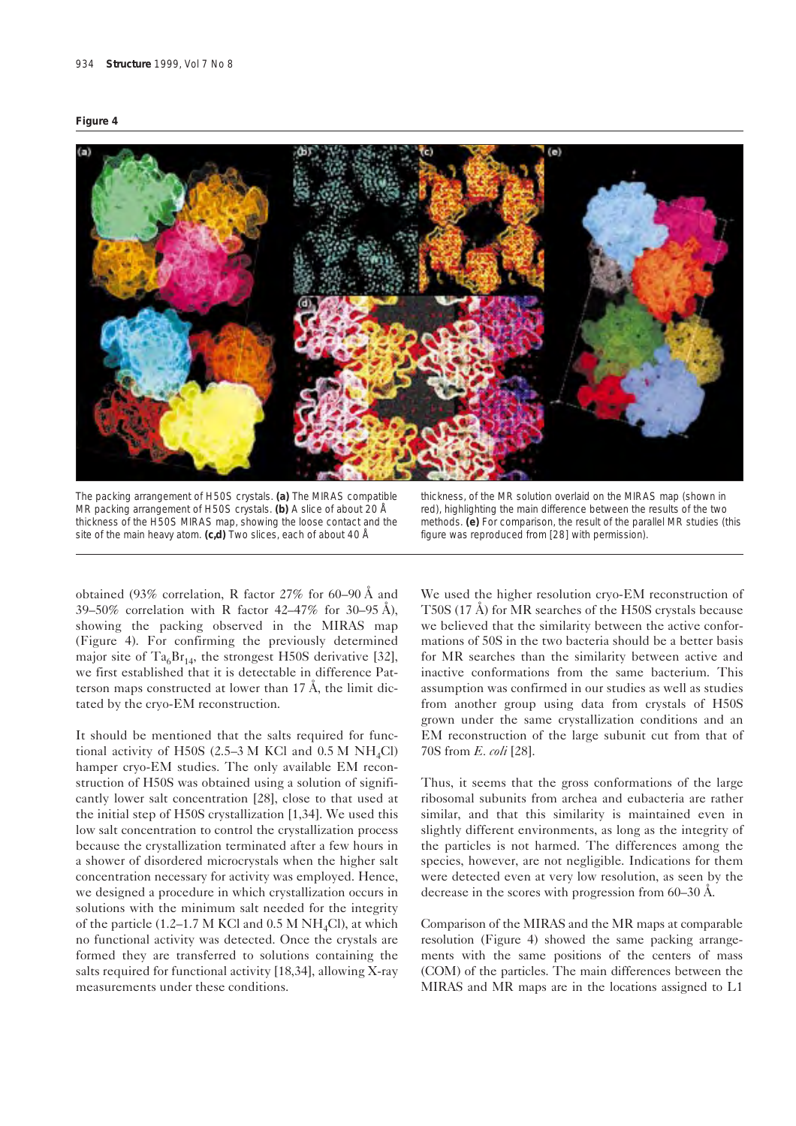



The packing arrangement of H50S crystals. **(a)** The MIRAS compatible MR packing arrangement of H50S crystals. **(b)** A slice of about 20 Å thickness of the H50S MIRAS map, showing the loose contact and the site of the main heavy atom. **(c,d)** Two slices, each of about 40 Å

thickness, of the MR solution overlaid on the MIRAS map (shown in red), highlighting the main difference between the results of the two methods. **(e)** For comparison, the result of the parallel MR studies (this figure was reproduced from [28] with permission).

obtained (93% correlation, R factor 27% for 60–90 Å and 39–50% correlation with R factor 42–47% for 30–95 Å), showing the packing observed in the MIRAS map (Figure 4). For confirming the previously determined major site of Ta<sub>6</sub>Br<sub>14</sub>, the strongest H50S derivative [32], we first established that it is detectable in difference Patterson maps constructed at lower than 17 Å, the limit dictated by the cryo-EM reconstruction.

It should be mentioned that the salts required for functional activity of H50S (2.5–3 M KCl and  $0.5$  M NH<sub>4</sub>Cl) hamper cryo-EM studies. The only available EM reconstruction of H50S was obtained using a solution of significantly lower salt concentration [28], close to that used at the initial step of H50S crystallization [1,34]. We used this low salt concentration to control the crystallization process because the crystallization terminated after a few hours in a shower of disordered microcrystals when the higher salt concentration necessary for activity was employed. Hence, we designed a procedure in which crystallization occurs in solutions with the minimum salt needed for the integrity of the particle (1.2–1.7 M KCl and 0.5 M NH<sub>4</sub>Cl), at which no functional activity was detected. Once the crystals are formed they are transferred to solutions containing the salts required for functional activity [18,34], allowing X-ray measurements under these conditions.

We used the higher resolution cryo-EM reconstruction of T50S (17 Å) for MR searches of the H50S crystals because we believed that the similarity between the active conformations of 50S in the two bacteria should be a better basis for MR searches than the similarity between active and inactive conformations from the same bacterium. This assumption was confirmed in our studies as well as studies from another group using data from crystals of H50S grown under the same crystallization conditions and an EM reconstruction of the large subunit cut from that of 70S from *E. coli* [28].

Thus, it seems that the gross conformations of the large ribosomal subunits from archea and eubacteria are rather similar, and that this similarity is maintained even in slightly different environments, as long as the integrity of the particles is not harmed. The differences among the species, however, are not negligible. Indications for them were detected even at very low resolution, as seen by the decrease in the scores with progression from 60–30 Å.

Comparison of the MIRAS and the MR maps at comparable resolution (Figure 4) showed the same packing arrangements with the same positions of the centers of mass (COM) of the particles. The main differences between the MIRAS and MR maps are in the locations assigned to L1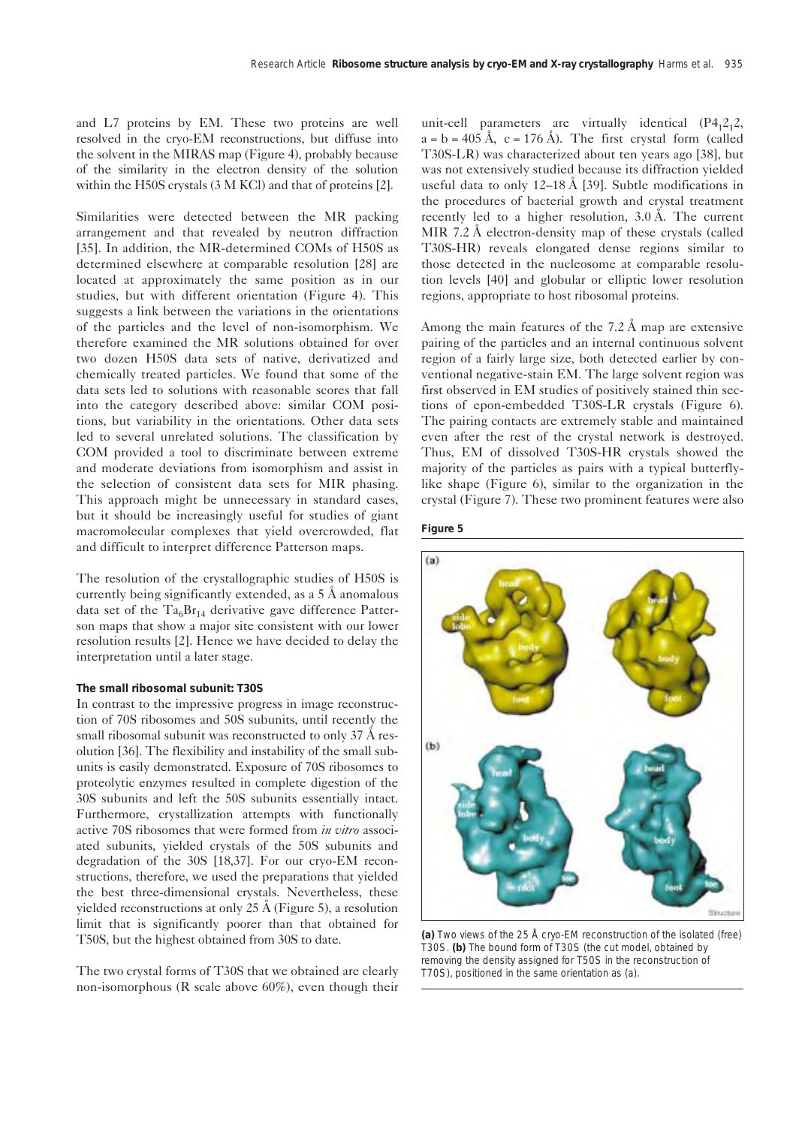and L7 proteins by EM. These two proteins are well resolved in the cryo-EM reconstructions, but diffuse into the solvent in the MIRAS map (Figure 4), probably because of the similarity in the electron density of the solution within the H50S crystals (3 M KCl) and that of proteins [2].

Similarities were detected between the MR packing arrangement and that revealed by neutron diffraction [35]. In addition, the MR-determined COMs of H50S as determined elsewhere at comparable resolution [28] are located at approximately the same position as in our studies, but with different orientation (Figure 4). This suggests a link between the variations in the orientations of the particles and the level of non-isomorphism. We therefore examined the MR solutions obtained for over two dozen H50S data sets of native, derivatized and chemically treated particles. We found that some of the data sets led to solutions with reasonable scores that fall into the category described above: similar COM positions, but variability in the orientations. Other data sets led to several unrelated solutions. The classification by COM provided a tool to discriminate between extreme and moderate deviations from isomorphism and assist in the selection of consistent data sets for MIR phasing. This approach might be unnecessary in standard cases, but it should be increasingly useful for studies of giant macromolecular complexes that yield overcrowded, flat and difficult to interpret difference Patterson maps.

The resolution of the crystallographic studies of H50S is currently being significantly extended, as a 5 Å anomalous data set of the  $Ta_6Br_{14}$  derivative gave difference Patterson maps that show a major site consistent with our lower resolution results [2]. Hence we have decided to delay the interpretation until a later stage.

### **The small ribosomal subunit: T30S**

In contrast to the impressive progress in image reconstruction of 70S ribosomes and 50S subunits, until recently the small ribosomal subunit was reconstructed to only 37 Å resolution [36]. The flexibility and instability of the small subunits is easily demonstrated. Exposure of 70S ribosomes to proteolytic enzymes resulted in complete digestion of the 30S subunits and left the 50S subunits essentially intact. Furthermore, crystallization attempts with functionally active 70S ribosomes that were formed from *in vitro* associated subunits, yielded crystals of the 50S subunits and degradation of the 30S [18,37]. For our cryo-EM reconstructions, therefore, we used the preparations that yielded the best three-dimensional crystals. Nevertheless, these yielded reconstructions at only 25 Å (Figure 5), a resolution limit that is significantly poorer than that obtained for T50S, but the highest obtained from 30S to date.

The two crystal forms of T30S that we obtained are clearly non-isomorphous (R scale above 60%), even though their unit-cell parameters are virtually identical  $(P4,2,2,$  $a = b = 405 \text{ Å}, c = 176 \text{ Å}.$  The first crystal form (called T30S-LR) was characterized about ten years ago [38], but was not extensively studied because its diffraction yielded useful data to only  $12-18 \text{ Å}$  [39]. Subtle modifications in the procedures of bacterial growth and crystal treatment recently led to a higher resolution, 3.0 Å. The current MIR 7.2 Å electron-density map of these crystals (called T30S-HR) reveals elongated dense regions similar to those detected in the nucleosome at comparable resolution levels [40] and globular or elliptic lower resolution regions, appropriate to host ribosomal proteins.

Among the main features of the 7.2 Å map are extensive pairing of the particles and an internal continuous solvent region of a fairly large size, both detected earlier by conventional negative-stain EM. The large solvent region was first observed in EM studies of positively stained thin sections of epon-embedded T30S-LR crystals (Figure 6). The pairing contacts are extremely stable and maintained even after the rest of the crystal network is destroyed. Thus, EM of dissolved T30S-HR crystals showed the majority of the particles as pairs with a typical butterflylike shape (Figure 6), similar to the organization in the crystal (Figure 7). These two prominent features were also





**(a)** Two views of the 25 Å cryo-EM reconstruction of the isolated (free) T30S. **(b)** The bound form of T30S (the cut model, obtained by removing the density assigned for T50S in the reconstruction of T70S), positioned in the same orientation as (a).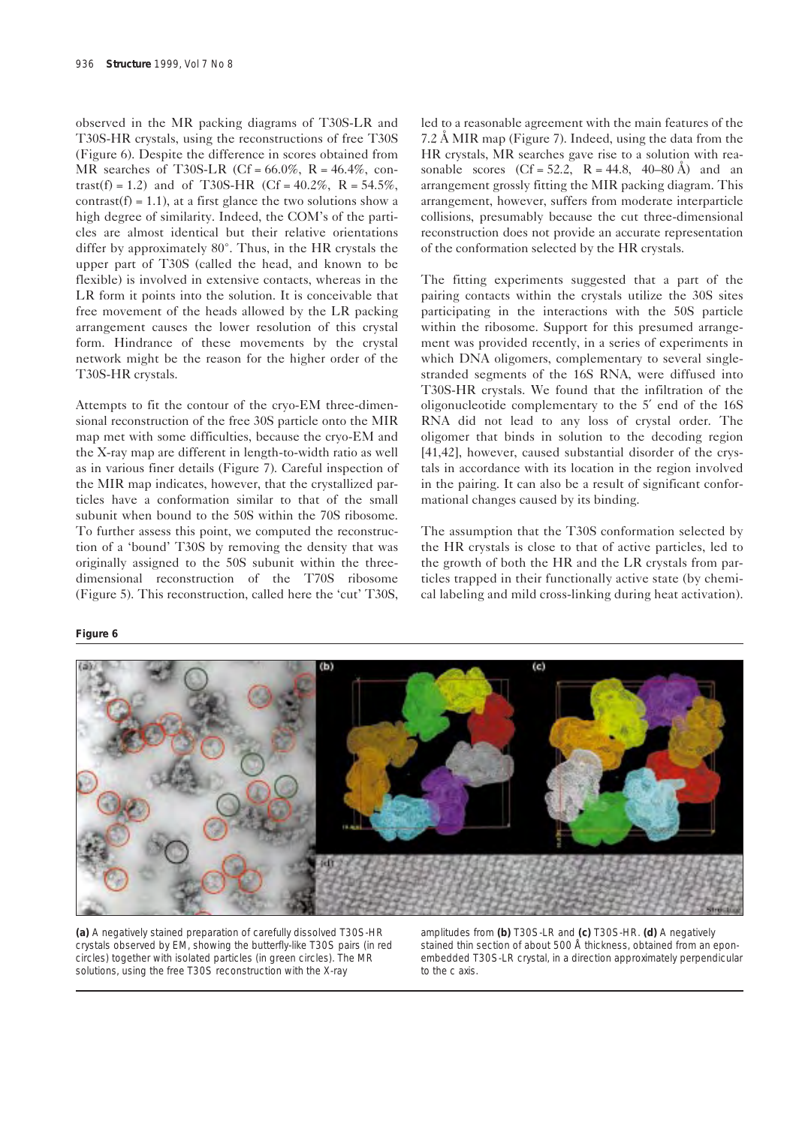observed in the MR packing diagrams of T30S-LR and T30S-HR crystals, using the reconstructions of free T30S (Figure 6). Despite the difference in scores obtained from MR searches of T30S-LR (Cf =  $66.0\%$ , R =  $46.4\%$ , contrast(f) = 1.2) and of T30S-HR (Cf =  $40.2\%$ , R =  $54.5\%$ , contrast(f) = 1.1), at a first glance the two solutions show a high degree of similarity. Indeed, the COM's of the particles are almost identical but their relative orientations differ by approximately 80°. Thus, in the HR crystals the upper part of T30S (called the head, and known to be flexible) is involved in extensive contacts, whereas in the LR form it points into the solution. It is conceivable that free movement of the heads allowed by the LR packing arrangement causes the lower resolution of this crystal form. Hindrance of these movements by the crystal network might be the reason for the higher order of the T30S-HR crystals.

Attempts to fit the contour of the cryo-EM three-dimensional reconstruction of the free 30S particle onto the MIR map met with some difficulties, because the cryo-EM and the X-ray map are different in length-to-width ratio as well as in various finer details (Figure 7). Careful inspection of the MIR map indicates, however, that the crystallized particles have a conformation similar to that of the small subunit when bound to the 50S within the 70S ribosome. To further assess this point, we computed the reconstruction of a 'bound' T30S by removing the density that was originally assigned to the 50S subunit within the threedimensional reconstruction of the T70S ribosome (Figure 5). This reconstruction, called here the 'cut' T30S,

## **Figure 6**

led to a reasonable agreement with the main features of the 7.2 Å MIR map (Figure 7). Indeed, using the data from the HR crystals, MR searches gave rise to a solution with reasonable scores  $(Cf = 52.2, R = 44.8, 40-80 \text{ Å})$  and an arrangement grossly fitting the MIR packing diagram. This arrangement, however, suffers from moderate interparticle collisions, presumably because the cut three-dimensional reconstruction does not provide an accurate representation of the conformation selected by the HR crystals.

The fitting experiments suggested that a part of the pairing contacts within the crystals utilize the 30S sites participating in the interactions with the 50S particle within the ribosome. Support for this presumed arrangement was provided recently, in a series of experiments in which DNA oligomers, complementary to several singlestranded segments of the 16S RNA, were diffused into T30S-HR crystals. We found that the infiltration of the oligonucleotide complementary to the 5′ end of the 16S RNA did not lead to any loss of crystal order. The oligomer that binds in solution to the decoding region [41,42], however, caused substantial disorder of the crystals in accordance with its location in the region involved in the pairing. It can also be a result of significant conformational changes caused by its binding.

The assumption that the T30S conformation selected by the HR crystals is close to that of active particles, led to the growth of both the HR and the LR crystals from particles trapped in their functionally active state (by chemical labeling and mild cross-linking during heat activation).



**(a)** A negatively stained preparation of carefully dissolved T30S-HR crystals observed by EM, showing the butterfly-like T30S pairs (in red circles) together with isolated particles (in green circles). The MR solutions, using the free T30S reconstruction with the X-ray

amplitudes from **(b)** T30S-LR and **(c)** T30S-HR. **(d)** A negatively stained thin section of about 500 Å thickness, obtained from an eponembedded T30S-LR crystal, in a direction approximately perpendicular to the c axis.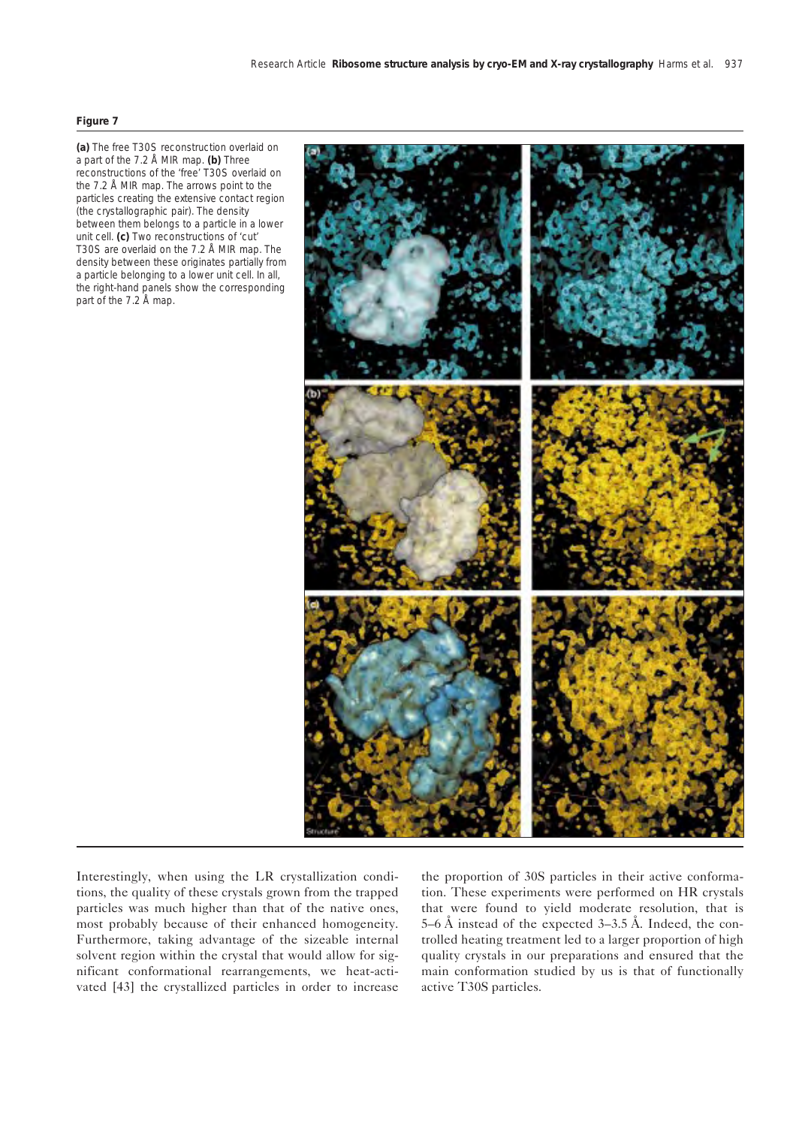#### **Figure 7**

**(a)** The free T30S reconstruction overlaid on a part of the 7.2 Å MIR map. **(b)** Three reconstructions of the 'free' T30S overlaid on the 7.2 Å MIR map. The arrows point to the particles creating the extensive contact region (the crystallographic pair). The density between them belongs to a particle in a lower unit cell. **(c)** Two reconstructions of 'cut' T30S are overlaid on the 7.2 Å MIR map. The density between these originates partially from a particle belonging to a lower unit cell. In all, the right-hand panels show the corresponding part of the 7.2 Å map.



Interestingly, when using the LR crystallization conditions, the quality of these crystals grown from the trapped particles was much higher than that of the native ones, most probably because of their enhanced homogeneity. Furthermore, taking advantage of the sizeable internal solvent region within the crystal that would allow for significant conformational rearrangements, we heat-activated [43] the crystallized particles in order to increase

the proportion of 30S particles in their active conformation. These experiments were performed on HR crystals that were found to yield moderate resolution, that is 5–6 Å instead of the expected 3–3.5 Å. Indeed, the controlled heating treatment led to a larger proportion of high quality crystals in our preparations and ensured that the main conformation studied by us is that of functionally active T30S particles.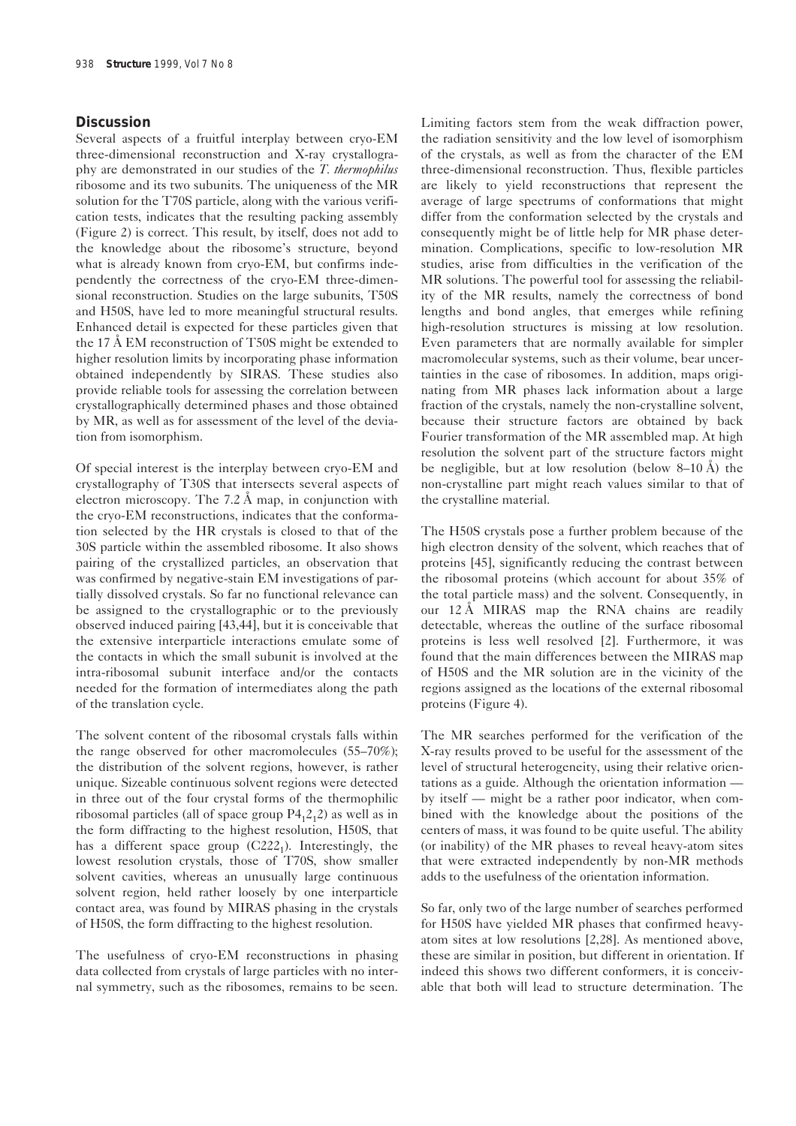# **Discussion**

Several aspects of a fruitful interplay between cryo-EM three-dimensional reconstruction and X-ray crystallography are demonstrated in our studies of the *T. thermophilus* ribosome and its two subunits. The uniqueness of the MR solution for the T70S particle, along with the various verification tests, indicates that the resulting packing assembly (Figure 2) is correct. This result, by itself, does not add to the knowledge about the ribosome's structure, beyond what is already known from cryo-EM, but confirms independently the correctness of the cryo-EM three-dimensional reconstruction. Studies on the large subunits, T50S and H50S, have led to more meaningful structural results. Enhanced detail is expected for these particles given that the 17 Å EM reconstruction of T50S might be extended to higher resolution limits by incorporating phase information obtained independently by SIRAS. These studies also provide reliable tools for assessing the correlation between crystallographically determined phases and those obtained by MR, as well as for assessment of the level of the deviation from isomorphism.

Of special interest is the interplay between cryo-EM and crystallography of T30S that intersects several aspects of electron microscopy. The 7.2 Å map, in conjunction with the cryo-EM reconstructions, indicates that the conformation selected by the HR crystals is closed to that of the 30S particle within the assembled ribosome. It also shows pairing of the crystallized particles, an observation that was confirmed by negative-stain EM investigations of partially dissolved crystals. So far no functional relevance can be assigned to the crystallographic or to the previously observed induced pairing [43,44], but it is conceivable that the extensive interparticle interactions emulate some of the contacts in which the small subunit is involved at the intra-ribosomal subunit interface and/or the contacts needed for the formation of intermediates along the path of the translation cycle.

The solvent content of the ribosomal crystals falls within the range observed for other macromolecules (55–70%); the distribution of the solvent regions, however, is rather unique. Sizeable continuous solvent regions were detected in three out of the four crystal forms of the thermophilic ribosomal particles (all of space group  $P4_12_12$ ) as well as in the form diffracting to the highest resolution, H50S, that has a different space group  $(C222<sub>1</sub>)$ . Interestingly, the lowest resolution crystals, those of T70S, show smaller solvent cavities, whereas an unusually large continuous solvent region, held rather loosely by one interparticle contact area, was found by MIRAS phasing in the crystals of H50S, the form diffracting to the highest resolution.

The usefulness of cryo-EM reconstructions in phasing data collected from crystals of large particles with no internal symmetry, such as the ribosomes, remains to be seen.

Limiting factors stem from the weak diffraction power, the radiation sensitivity and the low level of isomorphism of the crystals, as well as from the character of the EM three-dimensional reconstruction. Thus, flexible particles are likely to yield reconstructions that represent the average of large spectrums of conformations that might differ from the conformation selected by the crystals and consequently might be of little help for MR phase determination. Complications, specific to low-resolution MR studies, arise from difficulties in the verification of the MR solutions. The powerful tool for assessing the reliability of the MR results, namely the correctness of bond lengths and bond angles, that emerges while refining high-resolution structures is missing at low resolution. Even parameters that are normally available for simpler macromolecular systems, such as their volume, bear uncertainties in the case of ribosomes. In addition, maps originating from MR phases lack information about a large fraction of the crystals, namely the non-crystalline solvent, because their structure factors are obtained by back Fourier transformation of the MR assembled map. At high resolution the solvent part of the structure factors might be negligible, but at low resolution (below 8–10 Å) the non-crystalline part might reach values similar to that of the crystalline material.

The H50S crystals pose a further problem because of the high electron density of the solvent, which reaches that of proteins [45], significantly reducing the contrast between the ribosomal proteins (which account for about 35% of the total particle mass) and the solvent. Consequently, in our 12 Å MIRAS map the RNA chains are readily detectable, whereas the outline of the surface ribosomal proteins is less well resolved [2]. Furthermore, it was found that the main differences between the MIRAS map of H50S and the MR solution are in the vicinity of the regions assigned as the locations of the external ribosomal proteins (Figure 4).

The MR searches performed for the verification of the X-ray results proved to be useful for the assessment of the level of structural heterogeneity, using their relative orientations as a guide. Although the orientation information by itself — might be a rather poor indicator, when combined with the knowledge about the positions of the centers of mass, it was found to be quite useful. The ability (or inability) of the MR phases to reveal heavy-atom sites that were extracted independently by non-MR methods adds to the usefulness of the orientation information.

So far, only two of the large number of searches performed for H50S have yielded MR phases that confirmed heavyatom sites at low resolutions [2,28]. As mentioned above, these are similar in position, but different in orientation. If indeed this shows two different conformers, it is conceivable that both will lead to structure determination. The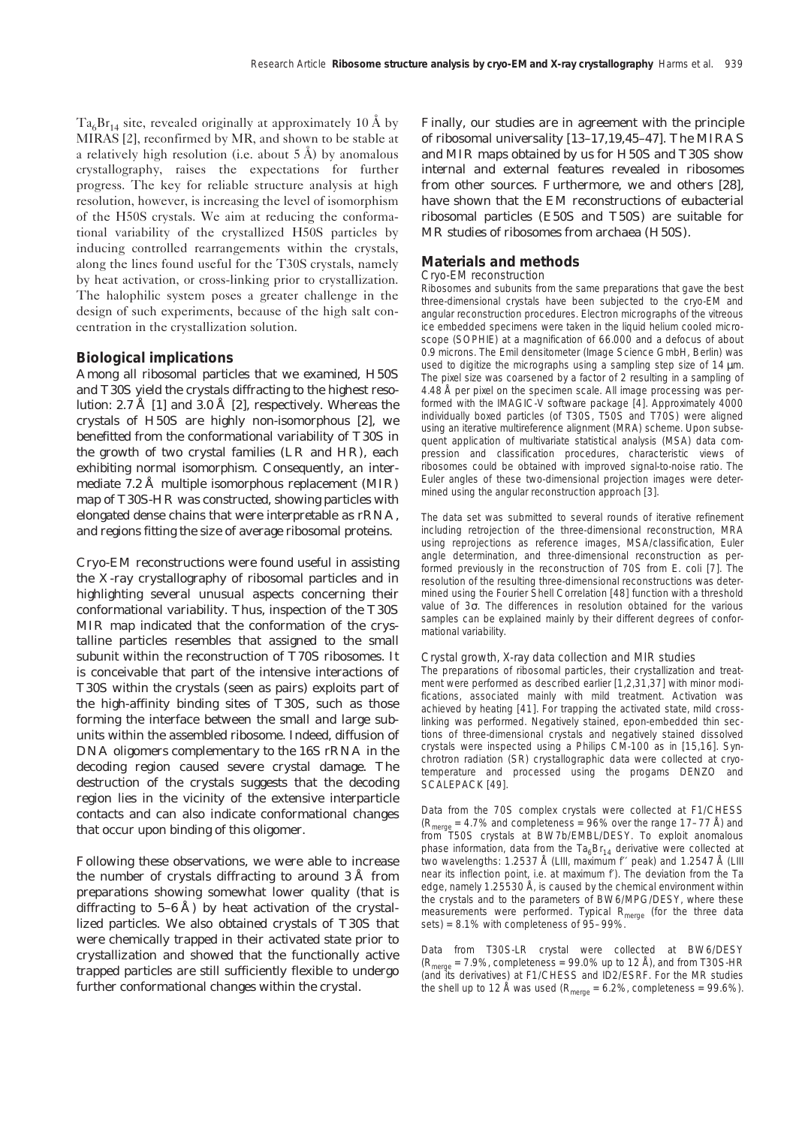$Ta<sub>6</sub>Br<sub>14</sub>$  site, revealed originally at approximately 10 Å by MIRAS [2], reconfirmed by MR, and shown to be stable at a relatively high resolution (i.e. about  $5 \text{ Å}$ ) by anomalous crystallography, raises the expectations for further progress. The key for reliable structure analysis at high resolution, however, is increasing the level of isomorphism of the H50S crystals. We aim at reducing the conformational variability of the crystallized H50S particles by inducing controlled rearrangements within the crystals, along the lines found useful for the T30S crystals, namely by heat activation, or cross-linking prior to crystallization. The halophilic system poses a greater challenge in the design of such experiments, because of the high salt concentration in the crystallization solution.

## **Biological implications**

Among all ribosomal particles that we examined, H50S and T30S yield the crystals diffracting to the highest resolution: 2.7 Å [1] and 3.0 Å [2], respectively. Whereas the crystals of H50S are highly non-isomorphous [2], we benefitted from the conformational variability of T30S in the growth of two crystal families (LR and HR), each exhibiting normal isomorphism. Consequently, an intermediate 7.2 Å multiple isomorphous replacement (MIR) map of T30S-HR was constructed, showing particles with elongated dense chains that were interpretable as rRNA, and regions fitting the size of average ribosomal proteins.

Cryo-EM reconstructions were found useful in assisting the X-ray crystallography of ribosomal particles and in highlighting several unusual aspects concerning their conformational variability. Thus, inspection of the T30S MIR map indicated that the conformation of the crystalline particles resembles that assigned to the small subunit within the reconstruction of T70S ribosomes. It is conceivable that part of the intensive interactions of T30S within the crystals (seen as pairs) exploits part of the high-affinity binding sites of T30S, such as those forming the interface between the small and large subunits within the assembled ribosome. Indeed, diffusion of DNA oligomers complementary to the 16S rRNA in the decoding region caused severe crystal damage. The destruction of the crystals suggests that the decoding region lies in the vicinity of the extensive interparticle contacts and can also indicate conformational changes that occur upon binding of this oligomer.

Following these observations, we were able to increase the number of crystals diffracting to around 3 Å from preparations showing somewhat lower quality (that is diffracting to 5–6 Å) by heat activation of the crystallized particles. We also obtained crystals of T30S that were chemically trapped in their activated state prior to crystallization and showed that the functionally active trapped particles are still sufficiently flexible to undergo further conformational changes within the crystal.

Finally, our studies are in agreement with the principle of ribosomal universality [13–17,19,45–47]. The MIRAS and MIR maps obtained by us for H50S and T30S show internal and external features revealed in ribosomes from other sources. Furthermore, we and others [28], have shown that the EM reconstructions of eubacterial ribosomal particles (E50S and T50S) are suitable for MR studies of ribosomes from archaea (H50S).

## **Materials and methods**

## *Cryo-EM reconstruction*

Ribosomes and subunits from the same preparations that gave the best three-dimensional crystals have been subjected to the cryo-EM and angular reconstruction procedures. Electron micrographs of the vitreous ice embedded specimens were taken in the liquid helium cooled microscope (SOPHIE) at a magnification of 66.000 and a defocus of about 0.9 microns. The Emil densitometer (Image Science GmbH, Berlin) was used to digitize the micrographs using a sampling step size of 14  $\mu$ m. The pixel size was coarsened by a factor of 2 resulting in a sampling of 4.48 Å per pixel on the specimen scale. All image processing was performed with the IMAGIC-V software package [4]. Approximately 4000 individually boxed particles (of T30S, T50S and T70S) were aligned using an iterative multireference alignment (MRA) scheme. Upon subsequent application of multivariate statistical analysis (MSA) data compression and classification procedures, characteristic views of ribosomes could be obtained with improved signal-to-noise ratio. The Euler angles of these two-dimensional projection images were determined using the angular reconstruction approach [3].

The data set was submitted to several rounds of iterative refinement including retrojection of the three-dimensional reconstruction, MRA using reprojections as reference images, MSA/classification, Euler angle determination, and three-dimensional reconstruction as performed previously in the reconstruction of 70S from *E. coli* [7]. The resolution of the resulting three-dimensional reconstructions was determined using the Fourier Shell Correlation [48] function with a threshold value of 3σ. The differences in resolution obtained for the various samples can be explained mainly by their different degrees of conformational variability.

#### *Crystal growth, X-ray data collection and MIR studies*

The preparations of ribosomal particles, their crystallization and treatment were performed as described earlier [1,2,31,37] with minor modifications, associated mainly with mild treatment. Activation was achieved by heating [41]. For trapping the activated state, mild crosslinking was performed. Negatively stained, epon-embedded thin sections of three-dimensional crystals and negatively stained dissolved crystals were inspected using a Philips CM-100 as in [15,16]. Synchrotron radiation (SR) crystallographic data were collected at cryotemperature and processed using the progams DENZO and SCALEPACK [49].

Data from the 70S complex crystals were collected at F1/CHESS  $(R<sub>merge</sub> = 4.7%$  and completeness = 96% over the range 17–77 Å) and from T50S crystals at BW7b/EMBL/DESY. To exploit anomalous phase information, data from the  $Ta_6Br_{14}$  derivative were collected at two wavelengths: 1.2537 Å (LIII, maximum f" peak) and 1.2547 Å (LIII near its inflection point, i.e. at maximum f′). The deviation from the Ta edge, namely 1.25530 Å, is caused by the chemical environment within the crystals and to the parameters of BW6/MPG/DESY, where these measurements were performed. Typical  $R_{merge}$  (for the three data sets) = 8.1% with completeness of 95–99%.

Data from T30S-LR crystal were collected at BW6/DESY  $(R<sub>merge</sub> = 7.9\%$ , completeness = 99.0% up to 12 Å), and from T30S-HR (and its derivatives) at F1/CHESS and ID2/ESRF. For the MR studies the shell up to 12 Å was used ( $R_{\text{merge}} = 6.2\%$ , completeness = 99.6%).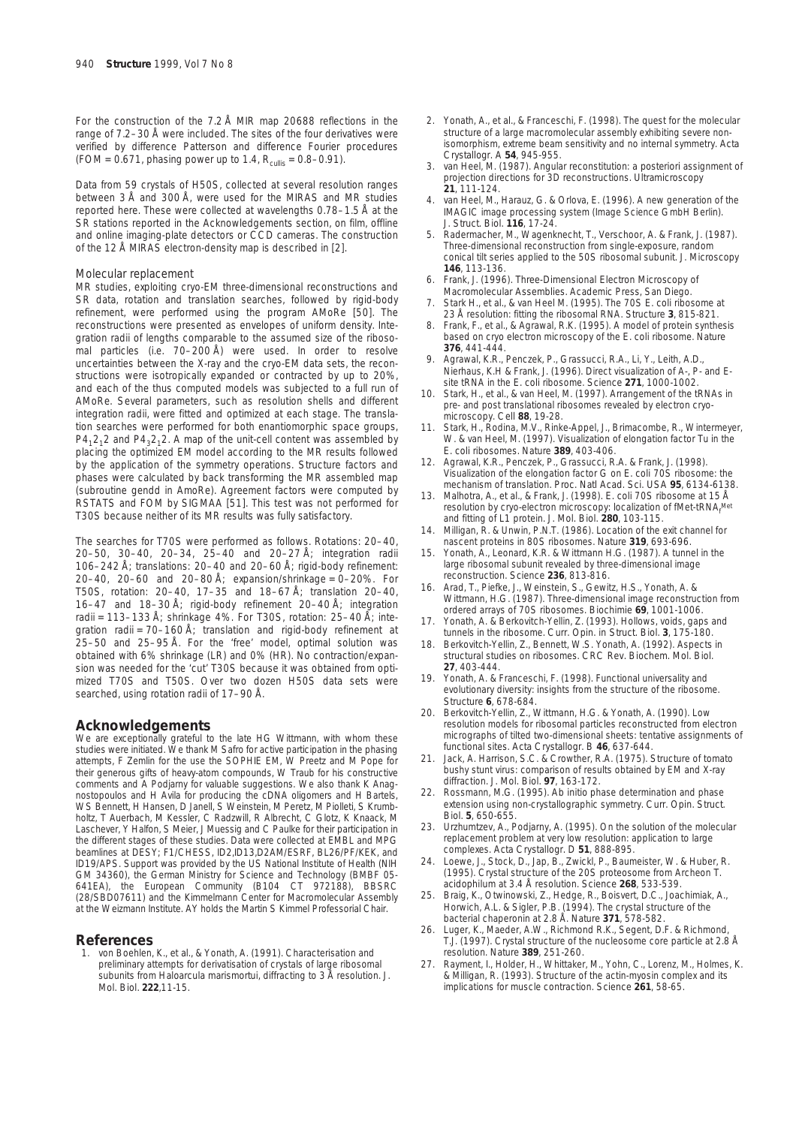For the construction of the 7.2 Å MIR map 20688 reflections in the range of 7.2–30 Å were included. The sites of the four derivatives were verified by difference Patterson and difference Fourier procedures (FOM = 0.671, phasing power up to 1.4,  $R_{\text{culling}} = 0.8 - 0.91$ ).

Data from 59 crystals of H50S, collected at several resolution ranges between 3 Å and 300 Å, were used for the MIRAS and MR studies reported here. These were collected at wavelengths 0.78–1.5 Å at the SR stations reported in the Acknowledgements section, on film, offline and online imaging-plate detectors or CCD cameras. The construction of the 12 Å MIRAS electron-density map is described in [2].

#### *Molecular replacement*

MR studies, exploiting cryo-EM three-dimensional reconstructions and SR data, rotation and translation searches, followed by rigid-body refinement, were performed using the program AMoRe [50]. The reconstructions were presented as envelopes of uniform density. Integration radii of lengths comparable to the assumed size of the ribosomal particles (i.e. 70–200 Å) were used. In order to resolve uncertainties between the X-ray and the cryo-EM data sets, the reconstructions were isotropically expanded or contracted by up to 20%, and each of the thus computed models was subjected to a full run of AMoRe. Several parameters, such as resolution shells and different integration radii, were fitted and optimized at each stage. The translation searches were performed for both enantiomorphic space groups,  $P4<sub>1</sub>2<sub>1</sub>2$  and  $P4<sub>2</sub>2<sub>1</sub>2$ . A map of the unit-cell content was assembled by placing the optimized EM model according to the MR results followed by the application of the symmetry operations. Structure factors and phases were calculated by back transforming the MR assembled map (subroutine gendd in AmoRe). Agreement factors were computed by RSTATS and FOM by SIGMAA [51]. This test was not performed for T30S because neither of its MR results was fully satisfactory.

The searches for T70S were performed as follows. Rotations: 20–40, 20–50, 30–40, 20–34, 25–40 and 20–27 Å; integration radii 106–242 Å; translations: 20–40 and 20–60 Å; rigid-body refinement: 20–40, 20–60 and 20–80 Å; expansion/shrinkage = 0–20%. For T50S, rotation: 20–40, 17–35 and 18–67 Å; translation 20–40, 16–47 and 18–30 Å; rigid-body refinement 20–40 Å; integration radii = 113–133 Å; shrinkage 4%. For T30S, rotation: 25–40 Å; integration radii = 70–160 Å; translation and rigid-body refinement at 25–50 and 25–95 Å. For the 'free' model, optimal solution was obtained with 6% shrinkage (LR) and 0% (HR). No contraction/expansion was needed for the 'cut' T30S because it was obtained from optimized T70S and T50S. Over two dozen H50S data sets were searched, using rotation radii of 17–90 Å.

## **Acknowledgements**

We are exceptionally grateful to the late HG Wittmann, with whom these studies were initiated. We thank M Safro for active participation in the phasing attempts, F Zemlin for the use the SOPHIE EM, W Preetz and M Pope for their generous gifts of heavy-atom compounds, W Traub for his constructive comments and A Podjarny for valuable suggestions. We also thank K Anagnostopoulos and H Avila for producing the cDNA oligomers and H Bartels, WS Bennett, H Hansen, D Janell, S Weinstein, M Peretz, M Piolleti, S Krumbholtz, T Auerbach, M Kessler, C Radzwill, R Albrecht, C Glotz, K Knaack, M Laschever, Y Halfon, S Meier, J Muessig and C Paulke for their participation in the different stages of these studies. Data were collected at EMBL and MPG beamlines at DESY; F1/CHESS, ID2,ID13,D2AM/ESRF, BL26/PF/KEK, and ID19/APS. Support was provided by the US National Institute of Health (NIH GM 34360), the German Ministry for Science and Technology (BMBF 05- 641EA), the European Community (B104 CT 972188), BBSRC (28/SBD07611) and the Kimmelmann Center for Macromolecular Assembly at the Weizmann Institute. AY holds the Martin S Kimmel Professorial Chair.

## **References**

1. von Boehlen, K., *et al.,* & Yonath, A. (1991). Characterisation and preliminary attempts for derivatisation of crystals of large ribosomal subunits from *Haloarcula marismortui*, diffracting to 3 Å resolution. *J. Mol. Biol.* **222**,11-15.

- 2. Yonath, A., *et al.,* & Franceschi, F. (1998). The quest for the molecular structure of a large macromolecular assembly exhibiting severe nonisomorphism, extreme beam sensitivity and no internal symmetry. *Acta Crystallogr. A* **54**, 945-955.
- 3. van Heel, M. (1987). Angular reconstitution: *a posteriori* assignment of projection directions for 3D reconstructions. *Ultramicroscopy* **21**, 111-124.
- 4. van Heel, M., Harauz, G. & Orlova, E. (1996). A new generation of the IMAGIC image processing system (Image Science GmbH Berlin). *J. Struct. Biol.* **116**, 17-24.
- 5. Radermacher, M., Wagenknecht, T., Verschoor, A. & Frank, J. (1987). Three-dimensional reconstruction from single-exposure, random conical tilt series applied to the 50S ribosomal subunit. *J. Microscopy* **146**, 113-136.
- 6. Frank, J. (1996). *Three-Dimensional Electron Microscopy of Macromolecular Assemblies.* Academic Press, San Diego.
- 7. Stark H., *et al.,* & van Heel M. (1995). The 70S *E. coli* ribosome at 23 Å resolution: fitting the ribosomal RNA. *Structure* **3**, 815-821.
- 8. Frank, F., *et al.,* & Agrawal, R.K. (1995). A model of protein synthesis based on cryo electron microscopy of the *E. coli* ribosome. *Nature* **376**, 441-444.
- 9. Agrawal, K.R., Penczek, P., Grassucci, R.A., Li, Y., Leith, A.D., Nierhaus, K.H & Frank, J. (1996). Direct visualization of A-, P- and Esite tRNA in the *E. coli* ribosome. *Science* **271**, 1000-1002.
- Stark, H., *et al.*, & van Heel, M. (1997). Arrangement of the tRNAs in pre- and post translational ribosomes revealed by electron cryomicroscopy. *Cell* **88**, 19-28.
- 11. Stark, H., Rodina, M.V., Rinke-Appel, J., Brimacombe, R., Wintermeyer, W. & van Heel, M. (1997). Visualization of elongation factor Tu in the *E. coli* ribosomes. *Nature* **389**, 403-406.
- 12. Agrawal, K.R., Penczek, P., Grassucci, R.A. & Frank, J. (1998). Visualization of the elongation factor G on *E. coli* 70S ribosome: the mechanism of translation. *Proc. Natl Acad. Sci. USA* **95**, 6134-6138.
- 13. Malhotra, A., *et al.*, & Frank, J. (1998). *E. coli* 70S ribosome at 15 Å resolution by cryo-electron microscopy: localization of fMet-tRNAf Met and fitting of L1 protein. *J. Mol. Biol.* **280**, 103-115.
- 14. Milligan, R. & Unwin, P.N.T. (1986). Location of the exit channel for nascent proteins in 80S ribosomes. *Nature* **319**, 693-696.
- Yonath, A., Leonard, K.R. & Wittmann H.G. (1987). A tunnel in the large ribosomal subunit revealed by three-dimensional image reconstruction. *Science* **236**, 813-816.
- 16. Arad, T., Piefke, J., Weinstein, S., Gewitz, H.S., Yonath, A. & Wittmann, H.G. (1987). Three-dimensional image reconstruction from ordered arrays of 70S ribosomes. *Biochimie* **69**, 1001-1006.
- 17. Yonath, A. & Berkovitch-Yellin, Z. (1993). Hollows, voids, gaps and tunnels in the ribosome. *Curr. Opin. in Struct. Biol.* **3**, 175-180.
- 18. Berkovitch-Yellin, Z., Bennett, W.S. Yonath, A. (1992). Aspects in structural studies on ribosomes. *CRC Rev. Biochem. Mol. Biol.* **27**, 403-444.
- 19. Yonath, A. & Franceschi, F. (1998). Functional universality and evolutionary diversity: insights from the structure of the ribosome. *Structure* **6**, 678-684.
- 20. Berkovitch-Yellin, Z., Wittmann, H.G. & Yonath, A. (1990). Low resolution models for ribosomal particles reconstructed from electron micrographs of tilted two-dimensional sheets: tentative assignments of functional sites. *Acta Crystallogr. B* **46**, 637-644.
- Jack, A. Harrison, S.C. & Crowther, R.A. (1975). Structure of tomato bushy stunt virus: comparison of results obtained by EM and X-ray diffraction. *J. Mol. Biol.* **97**, 163-172.
- 22. Rossmann, M.G. (1995). *Ab initio* phase determination and phase extension using non-crystallographic symmetry. *Curr. Opin. Struct. Biol.* **5**, 650-655.
- 23. Urzhumtzev, A., Podjarny, A. (1995). On the solution of the molecular replacement problem at very low resolution: application to large complexes. *Acta Crystallogr. D* **51**, 888-895.
- 24. Loewe, J., Stock, D., Jap, B., Zwickl, P., Baumeister, W. & Huber, R. (1995). Crystal structure of the 20S proteosome from Archeon *T. acidophilum* at 3.4 Å resolution. *Science* **268**, 533-539.
- 25. Braig, K., Otwinowski, Z., Hedge, R., Boisvert, D.C., Joachimiak, A., Horwich, A.L. & Sigler, P.B. (1994). The crystal structure of the bacterial chaperonin at 2.8 Å. *Nature* **371**, 578-582.
- 26. Luger, K., Maeder, A.W., Richmond R.K., Segent, D.F. & Richmond, T.J. (1997). Crystal structure of the nucleosome core particle at 2.8 Å resolution. *Nature* **389**, 251-260.
- Rayment, I., Holder, H., Whittaker, M., Yohn, C., Lorenz, M., Holmes, K. & Milligan, R. (1993). Structure of the actin-myosin complex and its implications for muscle contraction. *Science* **261**, 58-65.